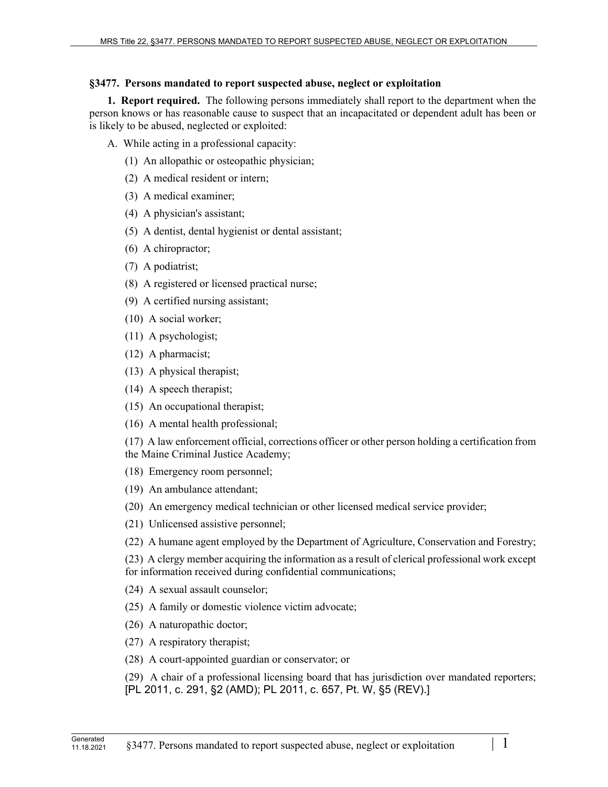## **§3477. Persons mandated to report suspected abuse, neglect or exploitation**

**1. Report required.** The following persons immediately shall report to the department when the person knows or has reasonable cause to suspect that an incapacitated or dependent adult has been or is likely to be abused, neglected or exploited:

- A. While acting in a professional capacity:
	- (1) An allopathic or osteopathic physician;
	- (2) A medical resident or intern;
	- (3) A medical examiner;
	- (4) A physician's assistant;
	- (5) A dentist, dental hygienist or dental assistant;
	- (6) A chiropractor;
	- (7) A podiatrist;
	- (8) A registered or licensed practical nurse;
	- (9) A certified nursing assistant;
	- (10) A social worker;
	- (11) A psychologist;
	- (12) A pharmacist;
	- (13) A physical therapist;
	- (14) A speech therapist;
	- (15) An occupational therapist;
	- (16) A mental health professional;

(17) A law enforcement official, corrections officer or other person holding a certification from the Maine Criminal Justice Academy;

(18) Emergency room personnel;

(19) An ambulance attendant;

(20) An emergency medical technician or other licensed medical service provider;

(21) Unlicensed assistive personnel;

(22) A humane agent employed by the Department of Agriculture, Conservation and Forestry;

(23) A clergy member acquiring the information as a result of clerical professional work except for information received during confidential communications;

(24) A sexual assault counselor;

(25) A family or domestic violence victim advocate;

- (26) A naturopathic doctor;
- (27) A respiratory therapist;
- (28) A court-appointed guardian or conservator; or

(29) A chair of a professional licensing board that has jurisdiction over mandated reporters; [PL 2011, c. 291, §2 (AMD); PL 2011, c. 657, Pt. W, §5 (REV).]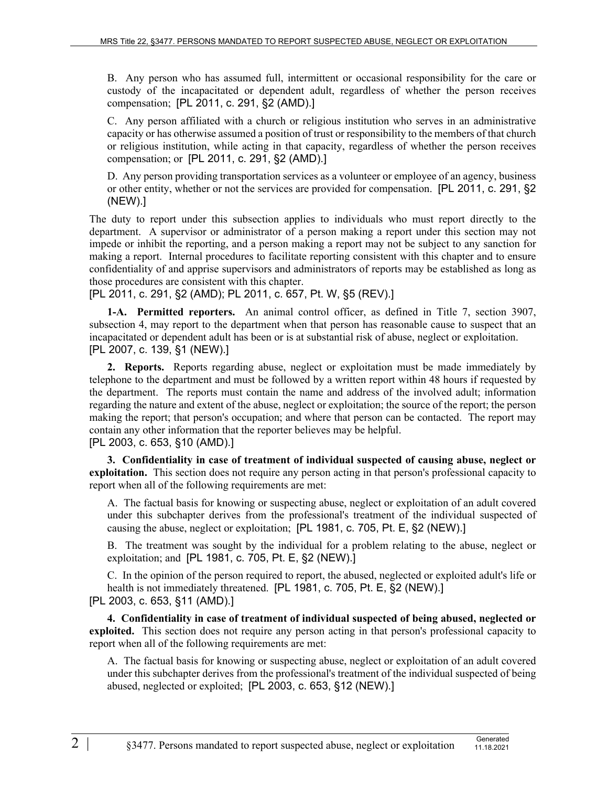B. Any person who has assumed full, intermittent or occasional responsibility for the care or custody of the incapacitated or dependent adult, regardless of whether the person receives compensation; [PL 2011, c. 291, §2 (AMD).]

C. Any person affiliated with a church or religious institution who serves in an administrative capacity or has otherwise assumed a position of trust or responsibility to the members of that church or religious institution, while acting in that capacity, regardless of whether the person receives compensation; or [PL 2011, c. 291, §2 (AMD).]

D. Any person providing transportation services as a volunteer or employee of an agency, business or other entity, whether or not the services are provided for compensation. [PL 2011, c. 291, §2 (NEW).]

The duty to report under this subsection applies to individuals who must report directly to the department. A supervisor or administrator of a person making a report under this section may not impede or inhibit the reporting, and a person making a report may not be subject to any sanction for making a report. Internal procedures to facilitate reporting consistent with this chapter and to ensure confidentiality of and apprise supervisors and administrators of reports may be established as long as those procedures are consistent with this chapter.

[PL 2011, c. 291, §2 (AMD); PL 2011, c. 657, Pt. W, §5 (REV).]

**1-A. Permitted reporters.** An animal control officer, as defined in Title 7, section 3907, subsection 4, may report to the department when that person has reasonable cause to suspect that an incapacitated or dependent adult has been or is at substantial risk of abuse, neglect or exploitation. [PL 2007, c. 139, §1 (NEW).]

**2. Reports.** Reports regarding abuse, neglect or exploitation must be made immediately by telephone to the department and must be followed by a written report within 48 hours if requested by the department. The reports must contain the name and address of the involved adult; information regarding the nature and extent of the abuse, neglect or exploitation; the source of the report; the person making the report; that person's occupation; and where that person can be contacted. The report may contain any other information that the reporter believes may be helpful.

[PL 2003, c. 653, §10 (AMD).]

**3. Confidentiality in case of treatment of individual suspected of causing abuse, neglect or exploitation.** This section does not require any person acting in that person's professional capacity to report when all of the following requirements are met:

A. The factual basis for knowing or suspecting abuse, neglect or exploitation of an adult covered under this subchapter derives from the professional's treatment of the individual suspected of causing the abuse, neglect or exploitation; [PL 1981, c. 705, Pt. E, §2 (NEW).]

B. The treatment was sought by the individual for a problem relating to the abuse, neglect or exploitation; and [PL 1981, c. 705, Pt. E, §2 (NEW).]

C. In the opinion of the person required to report, the abused, neglected or exploited adult's life or health is not immediately threatened. [PL 1981, c. 705, Pt. E, §2 (NEW).] [PL 2003, c. 653, §11 (AMD).]

**4. Confidentiality in case of treatment of individual suspected of being abused, neglected or exploited.** This section does not require any person acting in that person's professional capacity to report when all of the following requirements are met:

A. The factual basis for knowing or suspecting abuse, neglect or exploitation of an adult covered under this subchapter derives from the professional's treatment of the individual suspected of being abused, neglected or exploited; [PL 2003, c. 653, §12 (NEW).]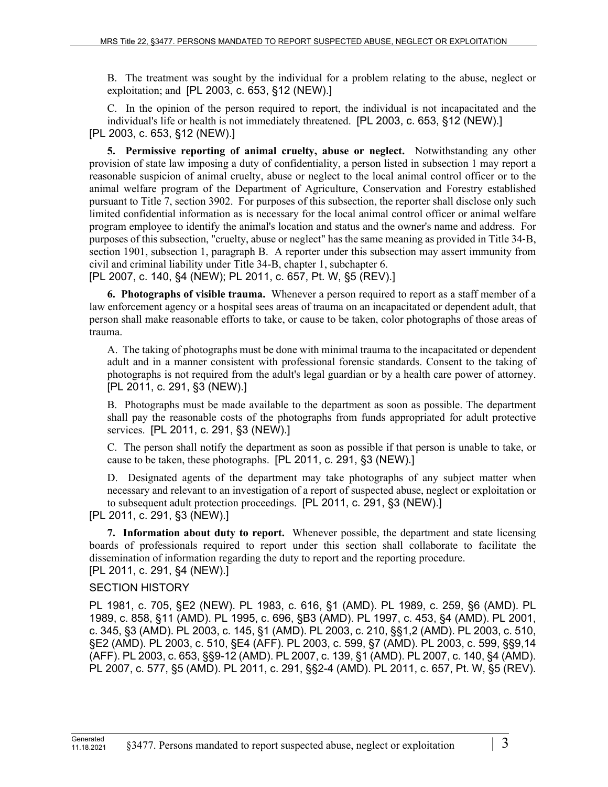B. The treatment was sought by the individual for a problem relating to the abuse, neglect or exploitation; and [PL 2003, c. 653, §12 (NEW).]

C. In the opinion of the person required to report, the individual is not incapacitated and the individual's life or health is not immediately threatened. [PL 2003, c. 653, §12 (NEW).] [PL 2003, c. 653, §12 (NEW).]

**5. Permissive reporting of animal cruelty, abuse or neglect.** Notwithstanding any other provision of state law imposing a duty of confidentiality, a person listed in subsection 1 may report a reasonable suspicion of animal cruelty, abuse or neglect to the local animal control officer or to the animal welfare program of the Department of Agriculture, Conservation and Forestry established pursuant to Title 7, section 3902. For purposes of this subsection, the reporter shall disclose only such limited confidential information as is necessary for the local animal control officer or animal welfare program employee to identify the animal's location and status and the owner's name and address. For purposes of this subsection, "cruelty, abuse or neglect" has the same meaning as provided in Title 34‑B, section 1901, subsection 1, paragraph B. A reporter under this subsection may assert immunity from civil and criminal liability under Title 34-B, chapter 1, subchapter 6.

[PL 2007, c. 140, §4 (NEW); PL 2011, c. 657, Pt. W, §5 (REV).]

**6. Photographs of visible trauma.** Whenever a person required to report as a staff member of a law enforcement agency or a hospital sees areas of trauma on an incapacitated or dependent adult, that person shall make reasonable efforts to take, or cause to be taken, color photographs of those areas of trauma.

A. The taking of photographs must be done with minimal trauma to the incapacitated or dependent adult and in a manner consistent with professional forensic standards. Consent to the taking of photographs is not required from the adult's legal guardian or by a health care power of attorney. [PL 2011, c. 291, §3 (NEW).]

B. Photographs must be made available to the department as soon as possible. The department shall pay the reasonable costs of the photographs from funds appropriated for adult protective services. [PL 2011, c. 291, §3 (NEW).]

C. The person shall notify the department as soon as possible if that person is unable to take, or cause to be taken, these photographs. [PL 2011, c. 291, §3 (NEW).]

D. Designated agents of the department may take photographs of any subject matter when necessary and relevant to an investigation of a report of suspected abuse, neglect or exploitation or to subsequent adult protection proceedings. [PL 2011, c. 291, §3 (NEW).]

[PL 2011, c. 291, §3 (NEW).]

**7. Information about duty to report.** Whenever possible, the department and state licensing boards of professionals required to report under this section shall collaborate to facilitate the dissemination of information regarding the duty to report and the reporting procedure.

[PL 2011, c. 291, §4 (NEW).]

## SECTION HISTORY

PL 1981, c. 705, §E2 (NEW). PL 1983, c. 616, §1 (AMD). PL 1989, c. 259, §6 (AMD). PL 1989, c. 858, §11 (AMD). PL 1995, c. 696, §B3 (AMD). PL 1997, c. 453, §4 (AMD). PL 2001, c. 345, §3 (AMD). PL 2003, c. 145, §1 (AMD). PL 2003, c. 210, §§1,2 (AMD). PL 2003, c. 510, §E2 (AMD). PL 2003, c. 510, §E4 (AFF). PL 2003, c. 599, §7 (AMD). PL 2003, c. 599, §§9,14 (AFF). PL 2003, c. 653, §§9-12 (AMD). PL 2007, c. 139, §1 (AMD). PL 2007, c. 140, §4 (AMD). PL 2007, c. 577, §5 (AMD). PL 2011, c. 291, §§2-4 (AMD). PL 2011, c. 657, Pt. W, §5 (REV).